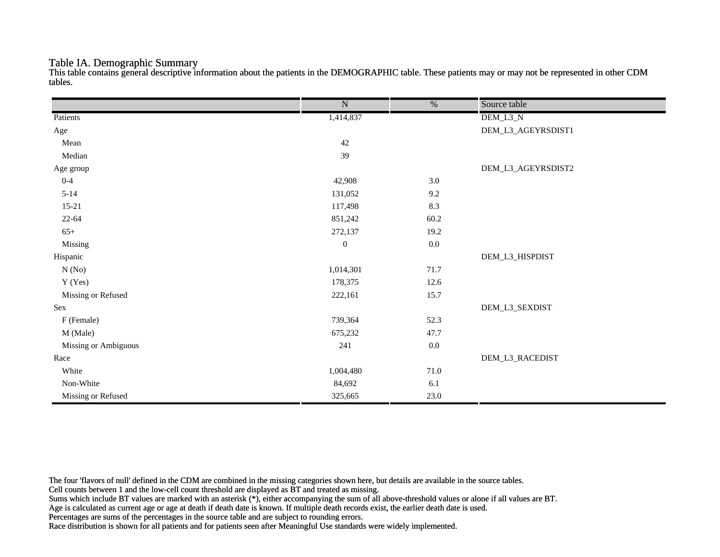#### Table IA. Demographic Summary

This table contains general descriptive information about the patients in the DEMOGRAPHIC table. These patients may or may not be represented in other CDM tables.

|                      | $\overline{\text{N}}$ | $\frac{0}{6}$ | Source table       |
|----------------------|-----------------------|---------------|--------------------|
| Patients             | 1,414,837             |               | DEM_L3_N           |
| Age                  |                       |               | DEM_L3_AGEYRSDIST1 |
| Mean                 | $42\,$                |               |                    |
| Median               | 39                    |               |                    |
| Age group            |                       |               | DEM_L3_AGEYRSDIST2 |
| $0 - 4$              | 42,908                | 3.0           |                    |
| $5 - 14$             | 131,052               | 9.2           |                    |
| $15 - 21$            | 117,498               | 8.3           |                    |
| $22 - 64$            | 851,242               | 60.2          |                    |
| $65+$                | 272,137               | 19.2          |                    |
| Missing              | $\mathbf{0}$          | $0.0\,$       |                    |
| Hispanic             |                       |               | DEM_L3_HISPDIST    |
| N(No)                | 1,014,301             | 71.7          |                    |
| Y (Yes)              | 178,375               | 12.6          |                    |
| Missing or Refused   | 222,161               | 15.7          |                    |
| Sex                  |                       |               | DEM_L3_SEXDIST     |
| F (Female)           | 739,364               | 52.3          |                    |
| M (Male)             | 675,232               | 47.7          |                    |
| Missing or Ambiguous | 241                   | $0.0\,$       |                    |
| Race                 |                       |               | DEM_L3_RACEDIST    |
| White                | 1,004,480             | $71.0\,$      |                    |
| Non-White            | 84,692                | 6.1           |                    |
| Missing or Refused   | 325,665               | 23.0          |                    |

The four 'flavors of null' defined in the CDM are combined in the missing categories shown here, but details are available in the source tables.

Cell counts between 1 and the low-cell count threshold are displayed as BT and treated as missing.

Sums which include BT values are marked with an asterisk (\*), either accompanying the sum of all above-threshold values or alone if all values are BT.

Age is calculated as current age or age at death if death date is known. If multiple death records exist, the earlier death date is used.

Percentages are sums of the percentages in the source table and are subject to rounding errors.

Race distribution is shown for all patients and for patients seen after Meaningful Use standards were widely implemented.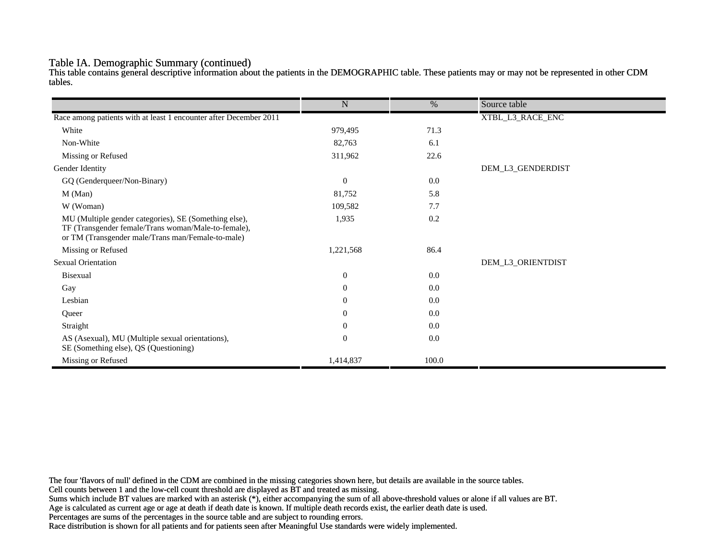#### Table IA. Demographic Summary (continued)

This table contains general descriptive information about the patients in the DEMOGRAPHIC table. These patients may or may not be represented in other CDM tables.

|                                                                                                                                                                   | $\mathbf N$    | $\%$  | Source table      |
|-------------------------------------------------------------------------------------------------------------------------------------------------------------------|----------------|-------|-------------------|
| Race among patients with at least 1 encounter after December 2011                                                                                                 |                |       | XTBL_L3_RACE_ENC  |
| White                                                                                                                                                             | 979,495        | 71.3  |                   |
| Non-White                                                                                                                                                         | 82,763         | 6.1   |                   |
|                                                                                                                                                                   |                |       |                   |
| Missing or Refused                                                                                                                                                | 311,962        | 22.6  |                   |
| Gender Identity                                                                                                                                                   |                |       | DEM_L3_GENDERDIST |
| GQ (Genderqueer/Non-Binary)                                                                                                                                       | $\mathbf{0}$   | 0.0   |                   |
| M (Man)                                                                                                                                                           | 81,752         | 5.8   |                   |
| W (Woman)                                                                                                                                                         | 109,582        | 7.7   |                   |
| MU (Multiple gender categories), SE (Something else),<br>TF (Transgender female/Trans woman/Male-to-female),<br>or TM (Transgender male/Trans man/Female-to-male) | 1,935          | 0.2   |                   |
| Missing or Refused                                                                                                                                                | 1,221,568      | 86.4  |                   |
| <b>Sexual Orientation</b>                                                                                                                                         |                |       | DEM_L3_ORIENTDIST |
| <b>Bisexual</b>                                                                                                                                                   | $\mathbf{0}$   | 0.0   |                   |
| Gay                                                                                                                                                               | $\overline{0}$ | 0.0   |                   |
| Lesbian                                                                                                                                                           | $\theta$       | 0.0   |                   |
| Queer                                                                                                                                                             | $\theta$       | 0.0   |                   |
| Straight                                                                                                                                                          | $\theta$       | 0.0   |                   |
| AS (Asexual), MU (Multiple sexual orientations),<br>SE (Something else), QS (Questioning)                                                                         | $\overline{0}$ | 0.0   |                   |
| Missing or Refused                                                                                                                                                | 1,414,837      | 100.0 |                   |

The four 'flavors of null' defined in the CDM are combined in the missing categories shown here, but details are available in the source tables.

Cell counts between 1 and the low-cell count threshold are displayed as BT and treated as missing.

Sums which include BT values are marked with an asterisk (\*), either accompanying the sum of all above-threshold values or alone if all values are BT.

Age is calculated as current age or age at death if death date is known. If multiple death records exist, the earlier death date is used.

Percentages are sums of the percentages in the source table and are subject to rounding errors.

Race distribution is shown for all patients and for patients seen after Meaningful Use standards were widely implemented.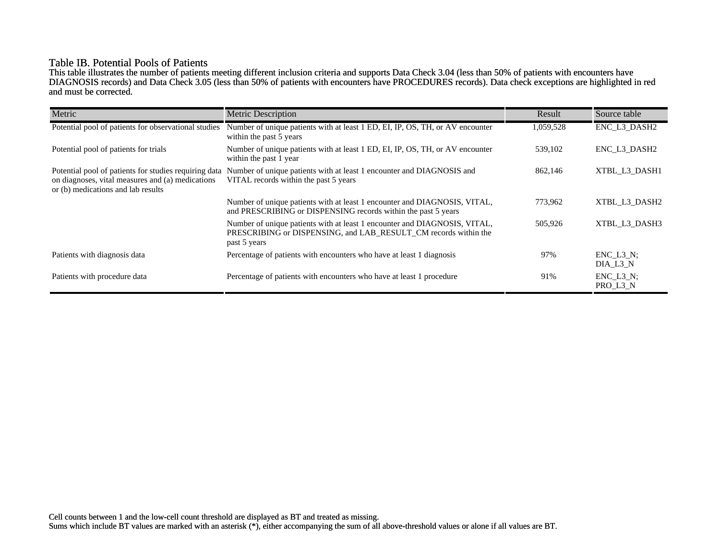## Table IB. Potential Pools of Patients

This table illustrates the number of patients meeting different inclusion criteria and supports Data Check 3.04 (less than 50% of patients with encounters have DIAGNOSIS records) and Data Check 3.05 (less than 50% of patients with encounters have PROCEDURES records). Data check exceptions are highlighted in red and must be corrected.

| Metric                                                                                                                                          | <b>Metric Description</b>                                                                                                                                    | Result    | Source table                 |
|-------------------------------------------------------------------------------------------------------------------------------------------------|--------------------------------------------------------------------------------------------------------------------------------------------------------------|-----------|------------------------------|
| Potential pool of patients for observational studies                                                                                            | Number of unique patients with at least 1 ED, EI, IP, OS, TH, or AV encounter<br>within the past 5 years                                                     | 1,059,528 | ENC_L3_DASH2                 |
| Potential pool of patients for trials                                                                                                           | Number of unique patients with at least 1 ED, EI, IP, OS, TH, or AV encounter<br>within the past 1 year                                                      | 539,102   | ENC L3 DASH2                 |
| Potential pool of patients for studies requiring data<br>on diagnoses, vital measures and (a) medications<br>or (b) medications and lab results | Number of unique patients with at least 1 encounter and DIAGNOSIS and<br>VITAL records within the past 5 years                                               | 862,146   | XTBL L3 DASH1                |
|                                                                                                                                                 | Number of unique patients with at least 1 encounter and DIAGNOSIS, VITAL,<br>and PRESCRIBING or DISPENSING records within the past 5 years                   | 773,962   | XTBL L3 DASH2                |
|                                                                                                                                                 | Number of unique patients with at least 1 encounter and DIAGNOSIS, VITAL,<br>PRESCRIBING or DISPENSING, and LAB RESULT CM records within the<br>past 5 years | 505,926   | XTBL L3 DASH3                |
| Patients with diagnosis data                                                                                                                    | Percentage of patients with encounters who have at least 1 diagnosis                                                                                         | 97%       | $ENC$ $L3$ $N$ ;<br>DIA L3 N |
| Patients with procedure data                                                                                                                    | Percentage of patients with encounters who have at least 1 procedure                                                                                         | 91%       | $ENC_L3_N;$<br>PRO_L3_N      |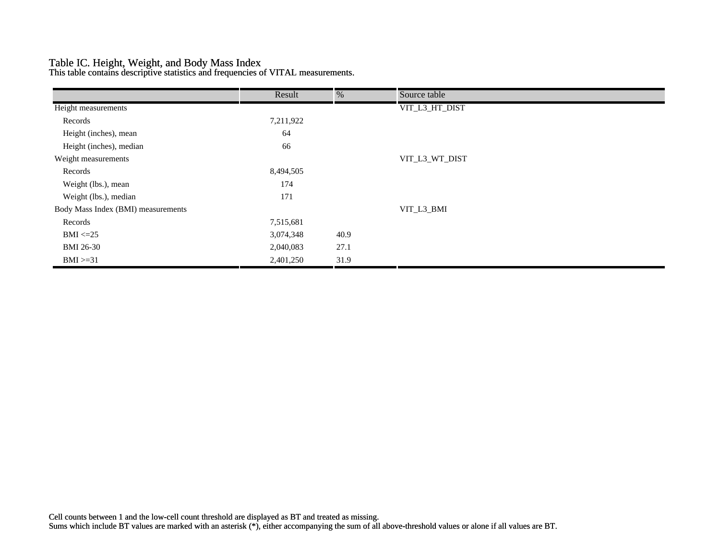## Table IC. Height, Weight, and Body Mass Index

This table contains descriptive statistics and frequencies of VITAL measurements.

|                                    | Result    | %    | Source table   |  |
|------------------------------------|-----------|------|----------------|--|
| Height measurements                |           |      | VIT_L3_HT_DIST |  |
| Records                            | 7,211,922 |      |                |  |
| Height (inches), mean              | 64        |      |                |  |
| Height (inches), median            | 66        |      |                |  |
| Weight measurements                |           |      | VIT_L3_WT_DIST |  |
| Records                            | 8,494,505 |      |                |  |
| Weight (lbs.), mean                | 174       |      |                |  |
| Weight (lbs.), median              | 171       |      |                |  |
| Body Mass Index (BMI) measurements |           |      | VIT_L3_BMI     |  |
| Records                            | 7,515,681 |      |                |  |
| $BMI \leq 25$                      | 3,074,348 | 40.9 |                |  |
| <b>BMI 26-30</b>                   | 2,040,083 | 27.1 |                |  |
| $BMI > = 31$                       | 2,401,250 | 31.9 |                |  |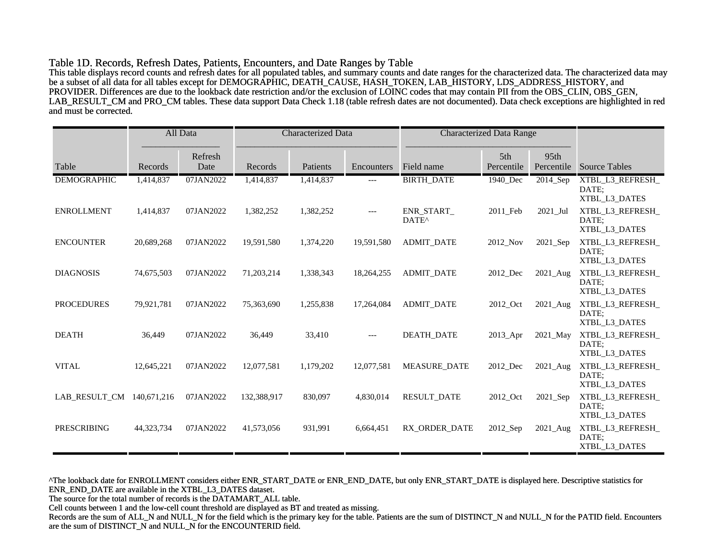#### Table 1D. Records, Refresh Dates, Patients, Encounters, and Date Ranges by Table

This table displays record counts and refresh dates for all populated tables, and summary counts and date ranges for the characterized data. The characterized data may be a subset of all data for all tables except for DEMOGRAPHIC, DEATH\_CAUSE, HASH\_TOKEN, LAB\_HISTORY, LDS\_ADDRESS\_HISTORY, and PROVIDER. Differences are due to the lookback date restriction and/or the exclusion of LOINC codes that may contain PII from the OBS\_CLIN, OBS\_GEN, LAB\_RESULT\_CM and PRO\_CM tables. These data support Data Check 1.18 (table refresh dates are not documented). Data check exceptions are highlighted in red and must be corrected.

|                    |             | All Data        | <b>Characterized Data</b> |           | <b>Characterized Data Range</b> |                                 |                   |                    |                                            |
|--------------------|-------------|-----------------|---------------------------|-----------|---------------------------------|---------------------------------|-------------------|--------------------|--------------------------------------------|
| Table              | Records     | Refresh<br>Date | Records                   | Patients  | Encounters                      | Field name                      | 5th<br>Percentile | 95th<br>Percentile | <b>Source Tables</b>                       |
| <b>DEMOGRAPHIC</b> | 1,414,837   | 07JAN2022       | 1,414,837                 | 1,414,837 | ---                             | <b>BIRTH_DATE</b>               | 1940_Dec          | 2014_Sep           | XTBL_L3_REFRESH_<br>DATE:<br>XTBL L3 DATES |
| <b>ENROLLMENT</b>  | 1,414,837   | 07JAN2022       | 1,382,252                 | 1,382,252 | $---$                           | ENR_START_<br>DATE <sup>^</sup> | 2011_Feb          | 2021_Jul           | XTBL_L3_REFRESH_<br>DATE:<br>XTBL_L3_DATES |
| <b>ENCOUNTER</b>   | 20,689,268  | 07JAN2022       | 19,591,580                | 1,374,220 | 19,591,580                      | <b>ADMIT DATE</b>               | 2012 Nov          | 2021 Sep           | XTBL_L3_REFRESH_<br>DATE:<br>XTBL_L3_DATES |
| <b>DIAGNOSIS</b>   | 74,675,503  | 07JAN2022       | 71,203,214                | 1,338,343 | 18,264,255                      | <b>ADMIT DATE</b>               | 2012_Dec          | 2021_Aug           | XTBL_L3_REFRESH_<br>DATE:<br>XTBL_L3_DATES |
| <b>PROCEDURES</b>  | 79,921,781  | 07JAN2022       | 75,363,690                | 1,255,838 | 17,264,084                      | <b>ADMIT DATE</b>               | 2012 Oct          | 2021 Aug           | XTBL L3 REFRESH<br>DATE:<br>XTBL_L3_DATES  |
| <b>DEATH</b>       | 36,449      | 07JAN2022       | 36,449                    | 33,410    | $---$                           | <b>DEATH DATE</b>               | 2013_Apr          | 2021_May           | XTBL_L3_REFRESH_<br>DATE:<br>XTBL_L3_DATES |
| <b>VITAL</b>       | 12,645,221  | 07JAN2022       | 12,077,581                | 1,179,202 | 12,077,581                      | <b>MEASURE DATE</b>             | 2012 Dec          | 2021_Aug           | XTBL_L3_REFRESH_<br>DATE:<br>XTBL L3 DATES |
| LAB RESULT_CM      | 140,671,216 | 07JAN2022       | 132,388,917               | 830,097   | 4,830,014                       | <b>RESULT_DATE</b>              | 2012_Oct          | 2021_Sep           | XTBL_L3_REFRESH_<br>DATE:<br>XTBL_L3_DATES |
| <b>PRESCRIBING</b> | 44,323,734  | 07JAN2022       | 41,573,056                | 931,991   | 6,664,451                       | RX ORDER DATE                   | 2012_Sep          | 2021_Aug           | XTBL_L3_REFRESH_<br>DATE:<br>XTBL_L3_DATES |

^The lookback date for ENROLLMENT considers either ENR\_START\_DATE or ENR\_END\_DATE, but only ENR\_START\_DATE is displayed here. Descriptive statistics for ENR\_END\_DATE are available in the XTBL\_L3\_DATES dataset.

The source for the total number of records is the DATAMART\_ALL table.

Cell counts between 1 and the low-cell count threshold are displayed as BT and treated as missing.

Records are the sum of ALL\_N and NULL\_N for the field which is the primary key for the table. Patients are the sum of DISTINCT\_N and NULL\_N for the PATID field. Encounters are the sum of DISTINCT\_N and NULL\_N for the ENCOUNTERID field.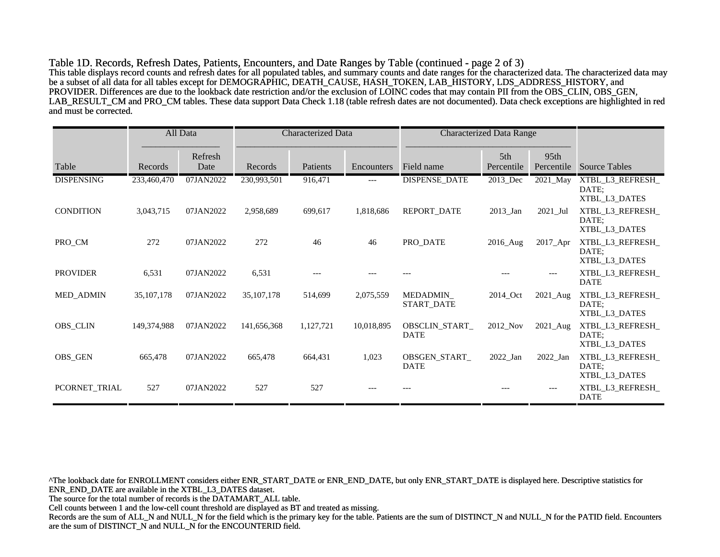Table 1D. Records, Refresh Dates, Patients, Encounters, and Date Ranges by Table (continued - page 2 of 3) This table displays record counts and refresh dates for all populated tables, and summary counts and date ranges for the characterized data. The characterized data may be a subset of all data for all tables except for DEMOGRAPHIC, DEATH\_CAUSE, HASH\_TOKEN, LAB\_HISTORY, LDS\_ADDRESS\_HISTORY, and PROVIDER. Differences are due to the lookback date restriction and/or the exclusion of LOINC codes that may contain PII from the OBS\_CLIN, OBS\_GEN, LAB\_RESULT\_CM and PRO\_CM tables. These data support Data Check 1.18 (table refresh dates are not documented). Data check exceptions are highlighted in red and must be corrected.

|                   |              | All Data        | <b>Characterized Data</b> |           | <b>Characterized Data Range</b> |                               |                   |                    |                                            |
|-------------------|--------------|-----------------|---------------------------|-----------|---------------------------------|-------------------------------|-------------------|--------------------|--------------------------------------------|
| Table             | Records      | Refresh<br>Date | Records                   | Patients  | Encounters                      | Field name                    | 5th<br>Percentile | 95th<br>Percentile | <b>Source Tables</b>                       |
| <b>DISPENSING</b> | 233,460,470  | 07JAN2022       | 230,993,501               | 916,471   | $---$                           | <b>DISPENSE_DATE</b>          | 2013_Dec          | 2021_May           | XTBL_L3_REFRESH_<br>DATE:<br>XTBL_L3_DATES |
| <b>CONDITION</b>  | 3,043,715    | 07JAN2022       | 2,958,689                 | 699,617   | 1,818,686                       | REPORT_DATE                   | $2013$ _Jan       | $2021$ _Jul        | XTBL_L3_REFRESH_<br>DATE:<br>XTBL_L3_DATES |
| PRO_CM            | 272          | 07JAN2022       | 272                       | 46        | 46                              | PRO_DATE                      | 2016_Aug          | 2017_Apr           | XTBL_L3_REFRESH_<br>DATE:<br>XTBL_L3_DATES |
| <b>PROVIDER</b>   | 6,531        | 07JAN2022       | 6,531                     |           |                                 |                               |                   | $---$              | XTBL_L3_REFRESH_<br><b>DATE</b>            |
| <b>MED_ADMIN</b>  | 35, 107, 178 | 07JAN2022       | 35, 107, 178              | 514,699   | 2,075,559                       | MEDADMIN<br>START_DATE        | 2014_Oct          | $2021$ _Aug        | XTBL_L3_REFRESH_<br>DATE:<br>XTBL_L3_DATES |
| OBS_CLIN          | 149.374.988  | 07JAN2022       | 141,656,368               | 1,127,721 | 10,018,895                      | OBSCLIN_START_<br><b>DATE</b> | 2012_Nov          | 2021_Aug           | XTBL_L3_REFRESH_<br>DATE:<br>XTBL_L3_DATES |
| OBS_GEN           | 665,478      | 07JAN2022       | 665,478                   | 664,431   | 1,023                           | OBSGEN_START_<br><b>DATE</b>  | 2022_Jan          | $2022$ _Jan        | XTBL_L3_REFRESH_<br>DATE:<br>XTBL_L3_DATES |
| PCORNET_TRIAL     | 527          | 07JAN2022       | 527                       | 527       |                                 |                               |                   | $---$              | XTBL_L3_REFRESH_<br><b>DATE</b>            |

^The lookback date for ENROLLMENT considers either ENR\_START\_DATE or ENR\_END\_DATE, but only ENR\_START\_DATE is displayed here. Descriptive statistics for ENR\_END\_DATE are available in the XTBL\_L3\_DATES dataset.

The source for the total number of records is the DATAMART\_ALL table.

Cell counts between 1 and the low-cell count threshold are displayed as BT and treated as missing.

Records are the sum of ALL\_N and NULL\_N for the field which is the primary key for the table. Patients are the sum of DISTINCT\_N and NULL\_N for the PATID field. Encounters are the sum of DISTINCT\_N and NULL\_N for the ENCOUNTERID field.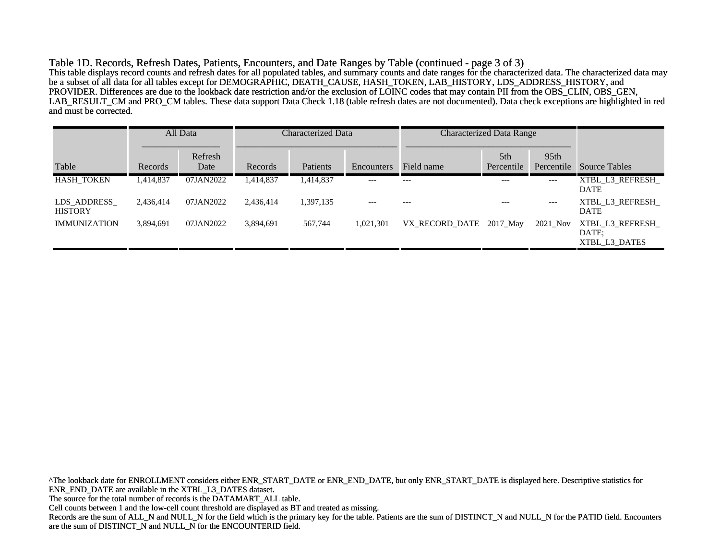Table 1D. Records, Refresh Dates, Patients, Encounters, and Date Ranges by Table (continued - page 3 of 3) This table displays record counts and refresh dates for all populated tables, and summary counts and date ranges for the characterized data. The characterized data may be a subset of all data for all tables except for DEMOGRAPHIC, DEATH\_CAUSE, HASH\_TOKEN, LAB\_HISTORY, LDS\_ADDRESS\_HISTORY, and PROVIDER. Differences are due to the lookback date restriction and/or the exclusion of LOINC codes that may contain PII from the OBS\_CLIN, OBS\_GEN, LAB\_RESULT\_CM and PRO\_CM tables. These data support Data Check 1.18 (table refresh dates are not documented). Data check exceptions are highlighted in red and must be corrected.

|                               |           | All Data        | Characterized Data |           | <b>Characterized Data Range</b> |                         |                   |                                |                                           |
|-------------------------------|-----------|-----------------|--------------------|-----------|---------------------------------|-------------------------|-------------------|--------------------------------|-------------------------------------------|
| Table                         | Records   | Refresh<br>Date | Records            | Patients  | Encounters                      | Field name              | 5th<br>Percentile | 95 <sub>th</sub><br>Percentile | <b>Source Tables</b>                      |
| <b>HASH TOKEN</b>             | 1,414,837 | 07JAN2022       | 1,414,837          | 1,414,837 | $---$                           | $---$                   | $---$             | ---                            | XTBL L3 REFRESH<br><b>DATE</b>            |
| LDS ADDRESS<br><b>HISTORY</b> | 2,436,414 | 07JAN2022       | 2,436,414          | 1,397,135 | $---$                           | $---$                   | $---$             | $---$                          | XTBL L3 REFRESH<br><b>DATE</b>            |
| <b>IMMUNIZATION</b>           | 3,894,691 | 07JAN2022       | 3,894,691          | 567,744   | 1,021,301                       | VX RECORD DATE 2017 May |                   | 2021_Nov                       | XTBL L3 REFRESH<br>DATE:<br>XTBL L3 DATES |

^The lookback date for ENROLLMENT considers either ENR\_START\_DATE or ENR\_END\_DATE, but only ENR\_START\_DATE is displayed here. Descriptive statistics for ENR\_END\_DATE are available in the XTBL\_L3\_DATES dataset. The source for the total number of records is the DATAMART\_ALL table. Cell counts between 1 and the low-cell count threshold are displayed as BT and treated as missing. Records are the sum of ALL\_N and NULL\_N for the field which is the primary key for the table. Patients are the sum of DISTINCT\_N and NULL\_N for the PATID field. Encounters are the sum of DISTINCT\_N and NULL\_N for the ENCOUNTERID field.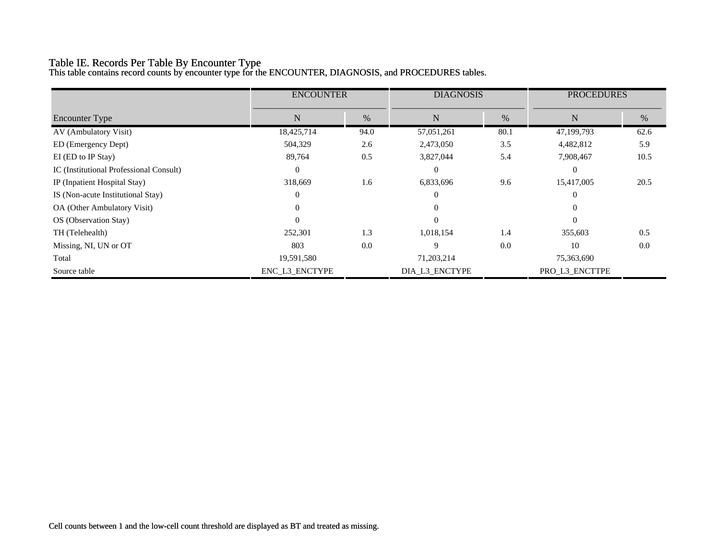# Table IE. Records Per Table By Encounter Type

This table contains record counts by encounter type for the ENCOUNTER, DIAGNOSIS, and PROCEDURES tables.

|                                         | <b>ENCOUNTER</b> |      | <b>DIAGNOSIS</b> |      | <b>PROCEDURES</b> |      |  |
|-----------------------------------------|------------------|------|------------------|------|-------------------|------|--|
| <b>Encounter Type</b>                   | N                | $\%$ | $\mathbf N$      | %    | $\mathbf N$       | %    |  |
| AV (Ambulatory Visit)                   | 18,425,714       | 94.0 | 57,051,261       | 80.1 | 47,199,793        | 62.6 |  |
| ED (Emergency Dept)                     | 504,329          | 2.6  | 2,473,050        | 3.5  | 4,482,812         | 5.9  |  |
| EI (ED to IP Stay)                      | 89,764           | 0.5  | 3,827,044        | 5.4  | 7,908,467         | 10.5 |  |
| IC (Institutional Professional Consult) | $\theta$         |      | $\theta$         |      | $\Omega$          |      |  |
| IP (Inpatient Hospital Stay)            | 318,669          | 1.6  | 6,833,696        | 9.6  | 15,417,005        | 20.5 |  |
| IS (Non-acute Institutional Stay)       | $\Omega$         |      | $\Omega$         |      | $\Omega$          |      |  |
| OA (Other Ambulatory Visit)             | 0                |      | $\Omega$         |      |                   |      |  |
| OS (Observation Stay)                   | $\Omega$         |      | $\Omega$         |      | $\Omega$          |      |  |
| TH (Telehealth)                         | 252,301          | 1.3  | 1,018,154        | 1.4  | 355,603           | 0.5  |  |
| Missing, NI, UN or OT                   | 803              | 0.0  | 9                | 0.0  | 10                | 0.0  |  |
| Total                                   | 19,591,580       |      | 71,203,214       |      | 75,363,690        |      |  |
| Source table                            | ENC_L3_ENCTYPE   |      | DIA_L3_ENCTYPE   |      | PRO_L3_ENCTTPE    |      |  |